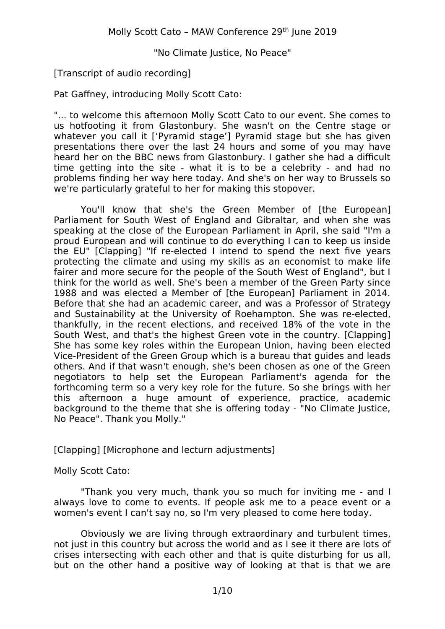# [Transcript of audio recording]

Pat Gaffney, introducing Molly Scott Cato:

"... to welcome this afternoon Molly Scott Cato to our event. She comes to us hotfooting it from Glastonbury. She wasn't on the Centre stage or whatever you call it ['Pyramid stage'] Pyramid stage but she has given presentations there over the last 24 hours and some of you may have heard her on the BBC news from Glastonbury. I gather she had a difficult time getting into the site - what it is to be a celebrity - and had no problems finding her way here today. And she's on her way to Brussels so we're particularly grateful to her for making this stopover.

You'll know that she's the Green Member of [the European] Parliament for South West of England and Gibraltar, and when she was speaking at the close of the European Parliament in April, she said "I'm a proud European and will continue to do everything I can to keep us inside the EU" [Clapping] "If re-elected I intend to spend the next five years protecting the climate and using my skills as an economist to make life fairer and more secure for the people of the South West of England", but I think for the world as well. She's been a member of the Green Party since 1988 and was elected a Member of [the European] Parliament in 2014. Before that she had an academic career, and was a Professor of Strategy and Sustainability at the University of Roehampton. She was re-elected, thankfully, in the recent elections, and received 18% of the vote in the South West, and that's the highest Green vote in the country. [Clapping] She has some key roles within the European Union, having been elected Vice-President of the Green Group which is a bureau that guides and leads others. And if that wasn't enough, she's been chosen as one of the Green negotiators to help set the European Parliament's agenda for the forthcoming term so a very key role for the future. So she brings with her this afternoon a huge amount of experience, practice, academic background to the theme that she is offering today - "No Climate Justice, No Peace". Thank you Molly."

[Clapping] [Microphone and lecturn adjustments]

# Molly Scott Cato:

"Thank you very much, thank you so much for inviting me - and I always love to come to events. If people ask me to a peace event or a women's event I can't say no, so I'm very pleased to come here today.

Obviously we are living through extraordinary and turbulent times, not just in this country but across the world and as I see it there are lots of crises intersecting with each other and that is quite disturbing for us all, but on the other hand a positive way of looking at that is that we are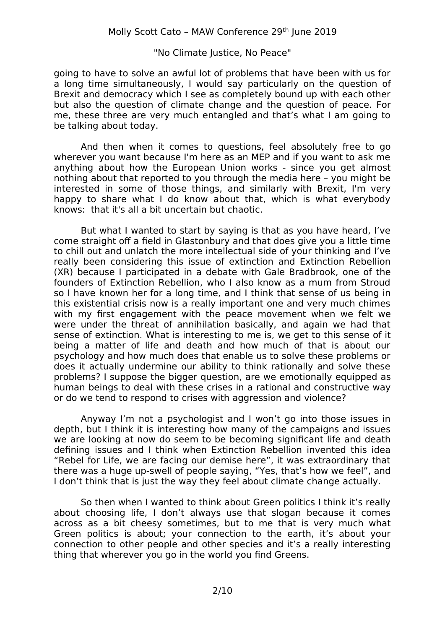going to have to solve an awful lot of problems that have been with us for a long time simultaneously, I would say particularly on the question of Brexit and democracy which I see as completely bound up with each other but also the question of climate change and the question of peace. For me, these three are very much entangled and that's what I am going to be talking about today.

And then when it comes to questions, feel absolutely free to go wherever you want because I'm here as an MEP and if you want to ask me anything about how the European Union works - since you get almost nothing about that reported to you through the media here – you might be interested in some of those things, and similarly with Brexit, I'm very happy to share what I do know about that, which is what everybody knows: that it's all a bit uncertain but chaotic.

But what I wanted to start by saying is that as you have heard, I've come straight off a field in Glastonbury and that does give you a little time to chill out and unlatch the more intellectual side of your thinking and I've really been considering this issue of extinction and Extinction Rebellion (XR) because I participated in a debate with Gale Bradbrook, one of the founders of Extinction Rebellion, who I also know as a mum from Stroud so I have known her for a long time, and I think that sense of us being in this existential crisis now is a really important one and very much chimes with my first engagement with the peace movement when we felt we were under the threat of annihilation basically, and again we had that sense of extinction. What is interesting to me is, we get to this sense of it being a matter of life and death and how much of that is about our psychology and how much does that enable us to solve these problems or does it actually undermine our ability to think rationally and solve these problems? I suppose the bigger question, are we emotionally equipped as human beings to deal with these crises in a rational and constructive way or do we tend to respond to crises with aggression and violence?

Anyway I'm not a psychologist and I won't go into those issues in depth, but I think it is interesting how many of the campaigns and issues we are looking at now do seem to be becoming significant life and death defining issues and I think when Extinction Rebellion invented this idea "Rebel for Life, we are facing our demise here", it was extraordinary that there was a huge up-swell of people saying, "Yes, that's how we feel", and I don't think that is just the way they feel about climate change actually.

So then when I wanted to think about Green politics I think it's really about choosing life, I don't always use that slogan because it comes across as a bit cheesy sometimes, but to me that is very much what Green politics is about; your connection to the earth, it's about your connection to other people and other species and it's a really interesting thing that wherever you go in the world you find Greens.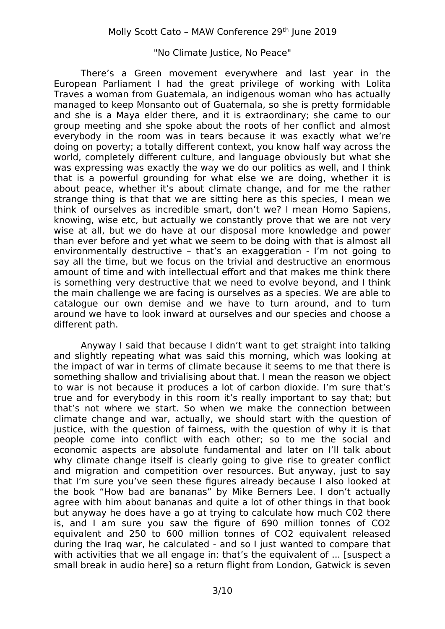There's a Green movement everywhere and last year in the European Parliament I had the great privilege of working with Lolita Traves a woman from Guatemala, an indigenous woman who has actually managed to keep Monsanto out of Guatemala, so she is pretty formidable and she is a Maya elder there, and it is extraordinary; she came to our group meeting and she spoke about the roots of her conflict and almost everybody in the room was in tears because it was exactly what we're doing on poverty; a totally different context, you know half way across the world, completely different culture, and language obviously but what she was expressing was exactly the way we do our politics as well, and I think that is a powerful grounding for what else we are doing, whether it is about peace, whether it's about climate change, and for me the rather strange thing is that that we are sitting here as this species, I mean we think of ourselves as incredible smart, don't we? I mean Homo Sapiens, knowing, wise etc, but actually we constantly prove that we are not very wise at all, but we do have at our disposal more knowledge and power than ever before and yet what we seem to be doing with that is almost all environmentally destructive – that's an exaggeration - I'm not going to say all the time, but we focus on the trivial and destructive an enormous amount of time and with intellectual effort and that makes me think there is something very destructive that we need to evolve beyond, and I think the main challenge we are facing is ourselves as a species. We are able to catalogue our own demise and we have to turn around, and to turn around we have to look inward at ourselves and our species and choose a different path.

Anyway I said that because I didn't want to get straight into talking and slightly repeating what was said this morning, which was looking at the impact of war in terms of climate because it seems to me that there is something shallow and trivialising about that. I mean the reason we object to war is not because it produces a lot of carbon dioxide. I'm sure that's true and for everybody in this room it's really important to say that; but that's not where we start. So when we make the connection between climate change and war, actually, we should start with the question of justice, with the question of fairness, with the question of why it is that people come into conflict with each other; so to me the social and economic aspects are absolute fundamental and later on I'll talk about why climate change itself is clearly going to give rise to greater conflict and migration and competition over resources. But anyway, just to say that I'm sure you've seen these figures already because I also looked at the book "How bad are bananas" by Mike Berners Lee. I don't actually agree with him about bananas and quite a lot of other things in that book but anyway he does have a go at trying to calculate how much C02 there is, and I am sure you saw the figure of 690 million tonnes of CO2 equivalent and 250 to 600 million tonnes of CO2 equivalent released during the Iraq war, he calculated - and so I just wanted to compare that with activities that we all engage in: that's the equivalent of ... [suspect a small break in audio here] so a return flight from London, Gatwick is seven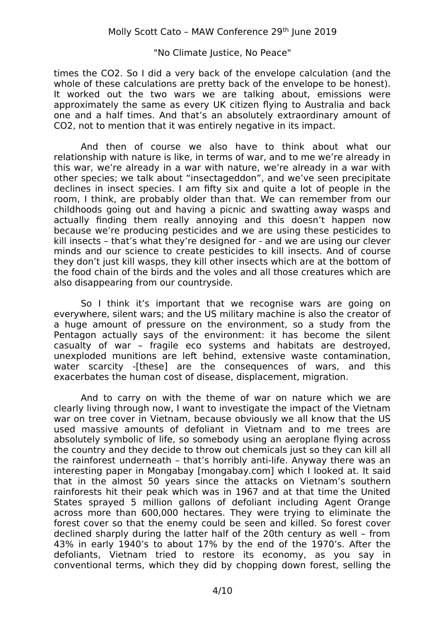times the CO2. So I did a very back of the envelope calculation (and the whole of these calculations are pretty back of the envelope to be honest). It worked out the two wars we are talking about, emissions were approximately the same as every UK citizen flying to Australia and back one and a half times. And that's an absolutely extraordinary amount of CO2, not to mention that it was entirely negative in its impact.

And then of course we also have to think about what our relationship with nature is like, in terms of war, and to me we're already in this war, we're already in a war with nature, we're already in a war with other species; we talk about "insectageddon", and we've seen precipitate declines in insect species. I am fifty six and quite a lot of people in the room, I think, are probably older than that. We can remember from our childhoods going out and having a picnic and swatting away wasps and actually finding them really annoying and this doesn't happen now because we're producing pesticides and we are using these pesticides to kill insects – that's what they're designed for - and we are using our clever minds and our science to create pesticides to kill insects. And of course they don't just kill wasps, they kill other insects which are at the bottom of the food chain of the birds and the voles and all those creatures which are also disappearing from our countryside.

So I think it's important that we recognise wars are going on everywhere, silent wars; and the US military machine is also the creator of a huge amount of pressure on the environment, so a study from the Pentagon actually says of the environment: it has become the silent casualty of war – fragile eco systems and habitats are destroyed, unexploded munitions are left behind, extensive waste contamination, water scarcity -[these] are the consequences of wars, and this exacerbates the human cost of disease, displacement, migration.

And to carry on with the theme of war on nature which we are clearly living through now, I want to investigate the impact of the Vietnam war on tree cover in Vietnam, because obviously we all know that the US used massive amounts of defoliant in Vietnam and to me trees are absolutely symbolic of life, so somebody using an aeroplane flying across the country and they decide to throw out chemicals just so they can kill all the rainforest underneath – that's horribly anti-life. Anyway there was an interesting paper in Mongabay [mongabay.com] which I looked at. It said that in the almost 50 years since the attacks on Vietnam's southern rainforests hit their peak which was in 1967 and at that time the United States sprayed 5 million gallons of defoliant including Agent Orange across more than 600,000 hectares. They were trying to eliminate the forest cover so that the enemy could be seen and killed. So forest cover declined sharply during the latter half of the 20th century as well – from 43% in early 1940's to about 17% by the end of the 1970's. After the defoliants, Vietnam tried to restore its economy, as you say in conventional terms, which they did by chopping down forest, selling the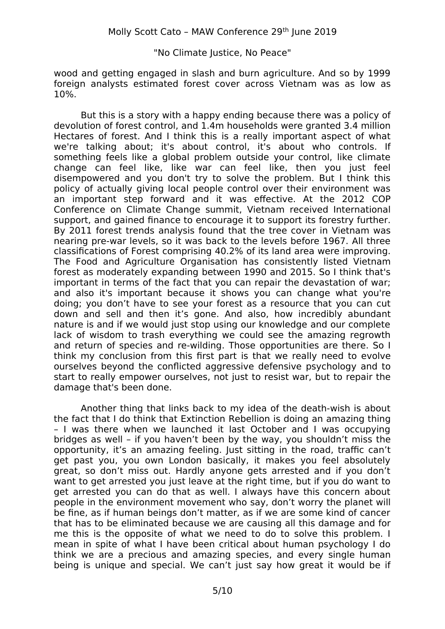wood and getting engaged in slash and burn agriculture. And so by 1999 foreign analysts estimated forest cover across Vietnam was as low as 10%.

But this is a story with a happy ending because there was a policy of devolution of forest control, and 1.4m households were granted 3.4 million Hectares of forest. And I think this is a really important aspect of what we're talking about; it's about control, it's about who controls. If something feels like a global problem outside your control, like climate change can feel like, like war can feel like, then you just feel disempowered and you don't try to solve the problem. But I think this policy of actually giving local people control over their environment was an important step forward and it was effective. At the 2012 COP Conference on Climate Change summit, Vietnam received International support, and gained finance to encourage it to support its forestry further. By 2011 forest trends analysis found that the tree cover in Vietnam was nearing pre-war levels, so it was back to the levels before 1967. All three classifications of Forest comprising 40.2% of its land area were improving. The Food and Agriculture Organisation has consistently listed Vietnam forest as moderately expanding between 1990 and 2015. So I think that's important in terms of the fact that you can repair the devastation of war; and also it's important because it shows you can change what you're doing; you don't have to see your forest as a resource that you can cut down and sell and then it's gone. And also, how incredibly abundant nature is and if we would just stop using our knowledge and our complete lack of wisdom to trash everything we could see the amazing regrowth and return of species and re-wilding. Those opportunities are there. So I think my conclusion from this first part is that we really need to evolve ourselves beyond the conflicted aggressive defensive psychology and to start to really empower ourselves, not just to resist war, but to repair the damage that's been done.

Another thing that links back to my idea of the death-wish is about the fact that I do think that Extinction Rebellion is doing an amazing thing – I was there when we launched it last October and I was occupying bridges as well – if you haven't been by the way, you shouldn't miss the opportunity, it's an amazing feeling. Just sitting in the road, traffic can't get past you, you own London basically, it makes you feel absolutely great, so don't miss out. Hardly anyone gets arrested and if you don't want to get arrested you just leave at the right time, but if you do want to get arrested you can do that as well. I always have this concern about people in the environment movement who say, don't worry the planet will be fine, as if human beings don't matter, as if we are some kind of cancer that has to be eliminated because we are causing all this damage and for me this is the opposite of what we need to do to solve this problem. I mean in spite of what I have been critical about human psychology I do think we are a precious and amazing species, and every single human being is unique and special. We can't just say how great it would be if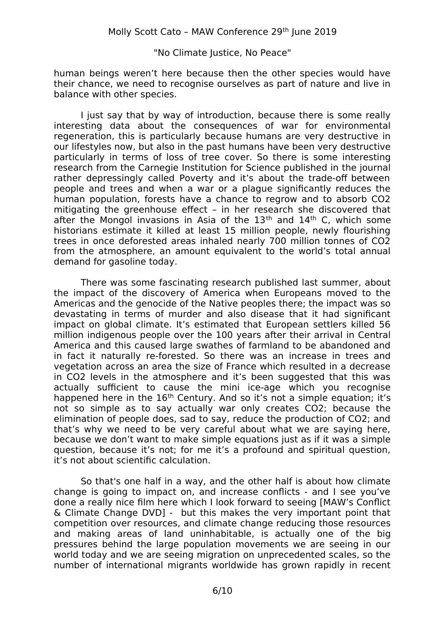human beings weren't here because then the other species would have their chance, we need to recognise ourselves as part of nature and live in balance with other species.

I just say that by way of introduction, because there is some really interesting data about the consequences of war for environmental regeneration, this is particularly because humans are very destructive in our lifestyles now, but also in the past humans have been very destructive particularly in terms of loss of tree cover. So there is some interesting research from the Carnegie Institution for Science published in the journal rather depressingly called Poverty and it's about the trade-off between people and trees and when a war or a plague significantly reduces the human population, forests have a chance to regrow and to absorb CO2 mitigating the greenhouse effect – in her research she discovered that after the Mongol invasions in Asia of the  $13<sup>th</sup>$  and  $14<sup>th</sup>$  C, which some historians estimate it killed at least 15 million people, newly flourishing trees in once deforested areas inhaled nearly 700 million tonnes of CO2 from the atmosphere, an amount equivalent to the world's total annual demand for gasoline today.

There was some fascinating research published last summer, about the impact of the discovery of America when Europeans moved to the Americas and the genocide of the Native peoples there; the impact was so devastating in terms of murder and also disease that it had significant impact on global climate. It's estimated that European settlers killed 56 million indigenous people over the 100 years after their arrival in Central America and this caused large swathes of farmland to be abandoned and in fact it naturally re-forested. So there was an increase in trees and vegetation across an area the size of France which resulted in a decrease in CO2 levels in the atmosphere and it's been suggested that this was actually sufficient to cause the mini ice-age which you recognise happened here in the  $16<sup>th</sup>$  Century. And so it's not a simple equation; it's not so simple as to say actually war only creates CO2; because the elimination of people does, sad to say, reduce the production of CO2; and that's why we need to be very careful about what we are saying here, because we don't want to make simple equations just as if it was a simple question, because it's not; for me it's a profound and spiritual question, it's not about scientific calculation.

So that's one half in a way, and the other half is about how climate change is going to impact on, and increase conflicts - and I see you've done a really nice film here which I look forward to seeing [MAW's Conflict & Climate Change DVD] - but this makes the very important point that competition over resources, and climate change reducing those resources and making areas of land uninhabitable, is actually one of the big pressures behind the large population movements we are seeing in our world today and we are seeing migration on unprecedented scales, so the number of international migrants worldwide has grown rapidly in recent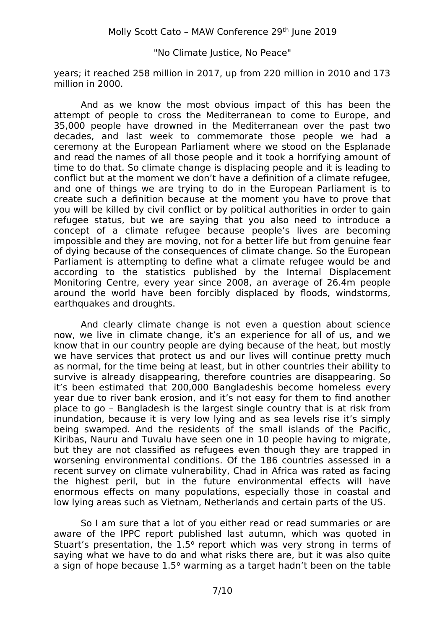years; it reached 258 million in 2017, up from 220 million in 2010 and 173 million in 2000.

And as we know the most obvious impact of this has been the attempt of people to cross the Mediterranean to come to Europe, and 35,000 people have drowned in the Mediterranean over the past two decades, and last week to commemorate those people we had a ceremony at the European Parliament where we stood on the Esplanade and read the names of all those people and it took a horrifying amount of time to do that. So climate change is displacing people and it is leading to conflict but at the moment we don't have a definition of a climate refugee, and one of things we are trying to do in the European Parliament is to create such a definition because at the moment you have to prove that you will be killed by civil conflict or by political authorities in order to gain refugee status, but we are saying that you also need to introduce a concept of a climate refugee because people's lives are becoming impossible and they are moving, not for a better life but from genuine fear of dying because of the consequences of climate change. So the European Parliament is attempting to define what a climate refugee would be and according to the statistics published by the Internal Displacement Monitoring Centre, every year since 2008, an average of 26.4m people around the world have been forcibly displaced by floods, windstorms, earthquakes and droughts.

And clearly climate change is not even a question about science now, we live in climate change, it's an experience for all of us, and we know that in our country people are dying because of the heat, but mostly we have services that protect us and our lives will continue pretty much as normal, for the time being at least, but in other countries their ability to survive is already disappearing, therefore countries are disappearing. So it's been estimated that 200,000 Bangladeshis become homeless every year due to river bank erosion, and it's not easy for them to find another place to go – Bangladesh is the largest single country that is at risk from inundation, because it is very low lying and as sea levels rise it's simply being swamped. And the residents of the small islands of the Pacific, Kiribas, Nauru and Tuvalu have seen one in 10 people having to migrate, but they are not classified as refugees even though they are trapped in worsening environmental conditions. Of the 186 countries assessed in a recent survey on climate vulnerability, Chad in Africa was rated as facing the highest peril, but in the future environmental effects will have enormous effects on many populations, especially those in coastal and low lying areas such as Vietnam, Netherlands and certain parts of the US.

So I am sure that a lot of you either read or read summaries or are aware of the IPPC report published last autumn, which was quoted in Stuart's presentation, the 1.5º report which was very strong in terms of saying what we have to do and what risks there are, but it was also quite a sign of hope because 1.5º warming as a target hadn't been on the table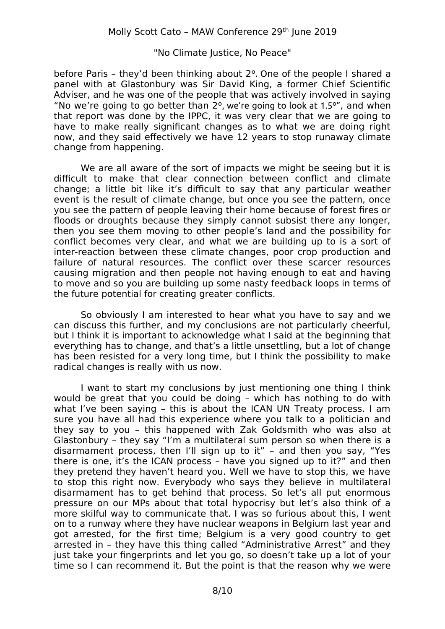before Paris – they'd been thinking about 2º. One of the people I shared a panel with at Glastonbury was Sir David King, a former Chief Scientific Adviser, and he was one of the people that was actively involved in saying "No we're going to go better than 2º, we're going to look at 1.5º", and when that report was done by the IPPC, it was very clear that we are going to have to make really significant changes as to what we are doing right now, and they said effectively we have 12 years to stop runaway climate change from happening.

We are all aware of the sort of impacts we might be seeing but it is difficult to make that clear connection between conflict and climate change; a little bit like it's difficult to say that any particular weather event is the result of climate change, but once you see the pattern, once you see the pattern of people leaving their home because of forest fires or floods or droughts because they simply cannot subsist there any longer, then you see them moving to other people's land and the possibility for conflict becomes very clear, and what we are building up to is a sort of inter-reaction between these climate changes, poor crop production and failure of natural resources. The conflict over these scarcer resources causing migration and then people not having enough to eat and having to move and so you are building up some nasty feedback loops in terms of the future potential for creating greater conflicts.

So obviously I am interested to hear what you have to say and we can discuss this further, and my conclusions are not particularly cheerful, but I think it is important to acknowledge what I said at the beginning that everything has to change, and that's a little unsettling, but a lot of change has been resisted for a very long time, but I think the possibility to make radical changes is really with us now.

I want to start my conclusions by just mentioning one thing I think would be great that you could be doing – which has nothing to do with what I've been saying – this is about the ICAN UN Treaty process. I am sure you have all had this experience where you talk to a politician and they say to you – this happened with Zak Goldsmith who was also at Glastonbury – they say "I'm a multilateral sum person so when there is a disarmament process, then I'll sign up to it" – and then you say, "Yes there is one, it's the ICAN process – have you signed up to it?" and then they pretend they haven't heard you. Well we have to stop this, we have to stop this right now. Everybody who says they believe in multilateral disarmament has to get behind that process. So let's all put enormous pressure on our MPs about that total hypocrisy but let's also think of a more skilful way to communicate that. I was so furious about this, I went on to a runway where they have nuclear weapons in Belgium last year and got arrested, for the first time; Belgium is a very good country to get arrested in – they have this thing called "Administrative Arrest" and they just take your fingerprints and let you go, so doesn't take up a lot of your time so I can recommend it. But the point is that the reason why we were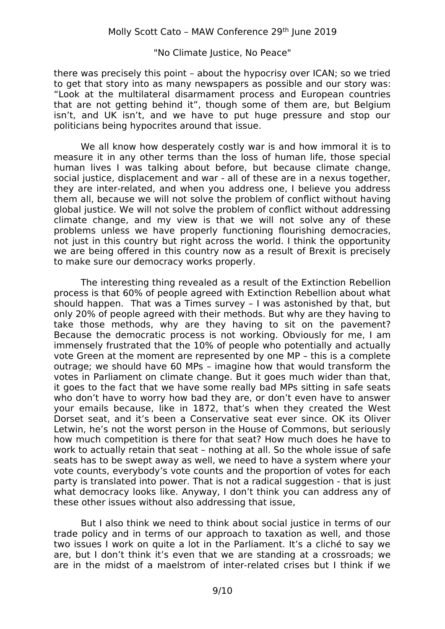there was precisely this point – about the hypocrisy over ICAN; so we tried to get that story into as many newspapers as possible and our story was: "Look at the multilateral disarmament process and European countries that are not getting behind it", though some of them are, but Belgium isn't, and UK isn't, and we have to put huge pressure and stop our politicians being hypocrites around that issue.

We all know how desperately costly war is and how immoral it is to measure it in any other terms than the loss of human life, those special human lives I was talking about before, but because climate change, social justice, displacement and war - all of these are in a nexus together, they are inter-related, and when you address one, I believe you address them all, because we will not solve the problem of conflict without having global justice. We will not solve the problem of conflict without addressing climate change, and my view is that we will not solve any of these problems unless we have properly functioning flourishing democracies, not just in this country but right across the world. I think the opportunity we are being offered in this country now as a result of Brexit is precisely to make sure our democracy works properly.

The interesting thing revealed as a result of the Extinction Rebellion process is that 60% of people agreed with Extinction Rebellion about what should happen. That was a Times survey – I was astonished by that, but only 20% of people agreed with their methods. But why are they having to take those methods, why are they having to sit on the pavement? Because the democratic process is not working. Obviously for me, I am immensely frustrated that the 10% of people who potentially and actually vote Green at the moment are represented by one MP – this is a complete outrage; we should have 60 MPs – imagine how that would transform the votes in Parliament on climate change. But it goes much wider than that, it goes to the fact that we have some really bad MPs sitting in safe seats who don't have to worry how bad they are, or don't even have to answer your emails because, like in 1872, that's when they created the West Dorset seat, and it's been a Conservative seat ever since. OK its Oliver Letwin, he's not the worst person in the House of Commons, but seriously how much competition is there for that seat? How much does he have to work to actually retain that seat – nothing at all. So the whole issue of safe seats has to be swept away as well, we need to have a system where your vote counts, everybody's vote counts and the proportion of votes for each party is translated into power. That is not a radical suggestion - that is just what democracy looks like. Anyway, I don't think you can address any of these other issues without also addressing that issue,

But I also think we need to think about social justice in terms of our trade policy and in terms of our approach to taxation as well, and those two issues I work on quite a lot in the Parliament. It's a cliché to say we are, but I don't think it's even that we are standing at a crossroads; we are in the midst of a maelstrom of inter-related crises but I think if we